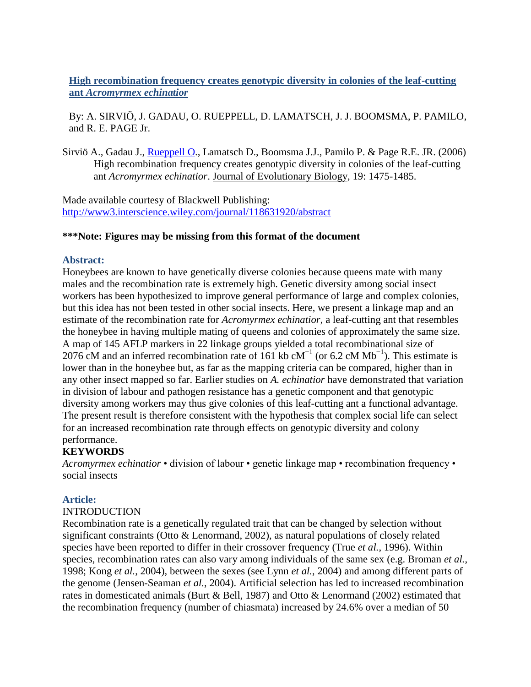**High recombination frequency creates genotypic diversity in colonies of the leaf-cutting ant** *Acromyrmex echinatior*

By: A. SIRVIÖ, J. GADAU, O. RUEPPELL, D. LAMATSCH, J. J. BOOMSMA, P. PAMILO, and R. E. PAGE Jr.

Sirviö A., Gadau J., [Rueppell O.](http://libres.uncg.edu/ir/uncg/clist.aspx?id=176), Lamatsch D., Boomsma J.J., Pamilo P. & Page R.E. JR. (2006) High recombination frequency creates genotypic diversity in colonies of the leaf-cutting ant *Acromyrmex echinatior*. Journal of Evolutionary Biology, 19: 1475-1485.

Made available courtesy of Blackwell Publishing: <http://www3.interscience.wiley.com/journal/118631920/abstract>

# **\*\*\*Note: Figures may be missing from this format of the document**

# **Abstract:**

Honeybees are known to have genetically diverse colonies because queens mate with many males and the recombination rate is extremely high. Genetic diversity among social insect workers has been hypothesized to improve general performance of large and complex colonies, but this idea has not been tested in other social insects. Here, we present a linkage map and an estimate of the recombination rate for *Acromyrmex echinatior*, a leaf-cutting ant that resembles the honeybee in having multiple mating of queens and colonies of approximately the same size. A map of 145 AFLP markers in 22 linkage groups yielded a total recombinational size of 2076 cM and an inferred recombination rate of 161 kb cM<sup>-1</sup> (or 6.2 cM Mb<sup>-1</sup>). This estimate is lower than in the honeybee but, as far as the mapping criteria can be compared, higher than in any other insect mapped so far. Earlier studies on *A. echinatior* have demonstrated that variation in division of labour and pathogen resistance has a genetic component and that genotypic diversity among workers may thus give colonies of this leaf-cutting ant a functional advantage. The present result is therefore consistent with the hypothesis that complex social life can select for an increased recombination rate through effects on genotypic diversity and colony performance.

# **KEYWORDS**

*Acromyrmex echinatior* • division of labour • genetic linkage map • recombination frequency • social insects

# **Article:**

# INTRODUCTION

Recombination rate is a genetically regulated trait that can be changed by selection without significant constraints (Otto & Lenormand, 2002), as natural populations of closely related species have been reported to differ in their crossover frequency (True *et al.*, 1996). Within species, recombination rates can also vary among individuals of the same sex (e.g. Broman *et al.*, 1998; Kong *et al.*, 2004), between the sexes (see Lynn *et al.*, 2004) and among different parts of the genome (Jensen-Seaman *et al.*, 2004). Artificial selection has led to increased recombination rates in domesticated animals (Burt & Bell, 1987) and Otto & Lenormand (2002) estimated that the recombination frequency (number of chiasmata) increased by 24.6% over a median of 50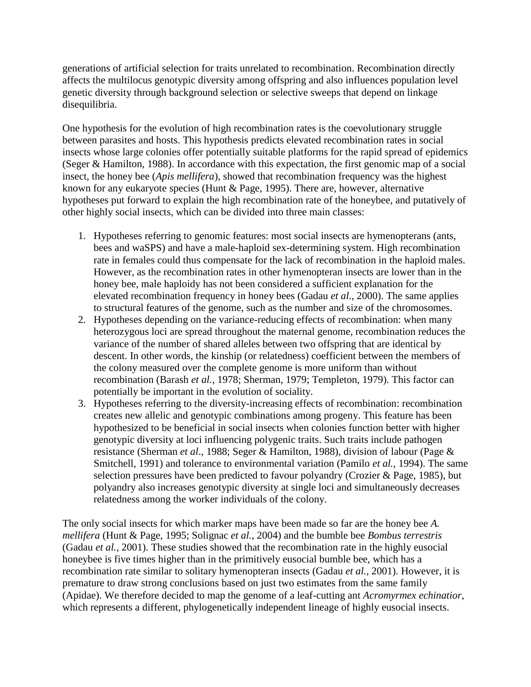generations of artificial selection for traits unrelated to recombination. Recombination directly affects the multilocus genotypic diversity among offspring and also influences population level genetic diversity through background selection or selective sweeps that depend on linkage disequilibria.

One hypothesis for the evolution of high recombination rates is the coevolutionary struggle between parasites and hosts. This hypothesis predicts elevated recombination rates in social insects whose large colonies offer potentially suitable platforms for the rapid spread of epidemics (Seger & Hamilton, 1988). In accordance with this expectation, the first genomic map of a social insect, the honey bee (*Apis mellifera*), showed that recombination frequency was the highest known for any eukaryote species (Hunt & Page, 1995). There are, however, alternative hypotheses put forward to explain the high recombination rate of the honeybee, and putatively of other highly social insects, which can be divided into three main classes:

- 1. Hypotheses referring to genomic features: most social insects are hymenopterans (ants, bees and waSPS) and have a male-haploid sex-determining system. High recombination rate in females could thus compensate for the lack of recombination in the haploid males. However, as the recombination rates in other hymenopteran insects are lower than in the honey bee, male haploidy has not been considered a sufficient explanation for the elevated recombination frequency in honey bees (Gadau *et al.*, 2000). The same applies to structural features of the genome, such as the number and size of the chromosomes.
- 2. Hypotheses depending on the variance-reducing effects of recombination: when many heterozygous loci are spread throughout the maternal genome, recombination reduces the variance of the number of shared alleles between two offspring that are identical by descent. In other words, the kinship (or relatedness) coefficient between the members of the colony measured over the complete genome is more uniform than without recombination (Barash *et al.*, 1978; Sherman, 1979; Templeton, 1979). This factor can potentially be important in the evolution of sociality.
- 3. Hypotheses referring to the diversity-increasing effects of recombination: recombination creates new allelic and genotypic combinations among progeny. This feature has been hypothesized to be beneficial in social insects when colonies function better with higher genotypic diversity at loci influencing polygenic traits. Such traits include pathogen resistance (Sherman *et al*., 1988; Seger & Hamilton, 1988), division of labour (Page & Smitchell, 1991) and tolerance to environmental variation (Pamilo *et al.*, 1994). The same selection pressures have been predicted to favour polyandry (Crozier & Page, 1985), but polyandry also increases genotypic diversity at single loci and simultaneously decreases relatedness among the worker individuals of the colony.

The only social insects for which marker maps have been made so far are the honey bee *A. mellifera* (Hunt & Page, 1995; Solignac *et al.*, 2004) and the bumble bee *Bombus terrestris* (Gadau *et al.*, 2001). These studies showed that the recombination rate in the highly eusocial honeybee is five times higher than in the primitively eusocial bumble bee, which has a recombination rate similar to solitary hymenopteran insects (Gadau *et al.*, 2001). However, it is premature to draw strong conclusions based on just two estimates from the same family (Apidae). We therefore decided to map the genome of a leaf-cutting ant *Acromyrmex echinatior*, which represents a different, phylogenetically independent lineage of highly eusocial insects.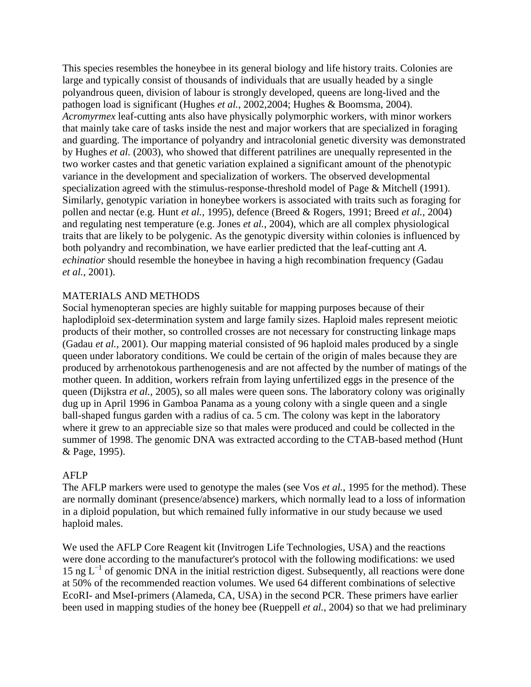This species resembles the honeybee in its general biology and life history traits. Colonies are large and typically consist of thousands of individuals that are usually headed by a single polyandrous queen, division of labour is strongly developed, queens are long-lived and the pathogen load is significant (Hughes *et al.*, 2002,2004; Hughes & Boomsma, 2004). *Acromyrmex* leaf-cutting ants also have physically polymorphic workers, with minor workers that mainly take care of tasks inside the nest and major workers that are specialized in foraging and guarding. The importance of polyandry and intracolonial genetic diversity was demonstrated by Hughes *et al.* (2003), who showed that different patrilines are unequally represented in the two worker castes and that genetic variation explained a significant amount of the phenotypic variance in the development and specialization of workers. The observed developmental specialization agreed with the stimulus-response-threshold model of Page & Mitchell (1991). Similarly, genotypic variation in honeybee workers is associated with traits such as foraging for pollen and nectar (e.g. Hunt *et al.*, 1995), defence (Breed & Rogers, 1991; Breed *et al.*, 2004) and regulating nest temperature (e.g. Jones *et al.*, 2004), which are all complex physiological traits that are likely to be polygenic. As the genotypic diversity within colonies is influenced by both polyandry and recombination, we have earlier predicted that the leaf-cutting ant *A. echinatior* should resemble the honeybee in having a high recombination frequency (Gadau *et al.*, 2001).

# MATERIALS AND METHODS

Social hymenopteran species are highly suitable for mapping purposes because of their haplodiploid sex-determination system and large family sizes. Haploid males represent meiotic products of their mother, so controlled crosses are not necessary for constructing linkage maps (Gadau *et al.*, 2001). Our mapping material consisted of 96 haploid males produced by a single queen under laboratory conditions. We could be certain of the origin of males because they are produced by arrhenotokous parthenogenesis and are not affected by the number of matings of the mother queen. In addition, workers refrain from laying unfertilized eggs in the presence of the queen (Dijkstra *et al.*, 2005), so all males were queen sons. The laboratory colony was originally dug up in April 1996 in Gamboa Panama as a young colony with a single queen and a single ball-shaped fungus garden with a radius of ca. 5 cm. The colony was kept in the laboratory where it grew to an appreciable size so that males were produced and could be collected in the summer of 1998. The genomic DNA was extracted according to the CTAB-based method (Hunt & Page, 1995).

#### AFLP

The AFLP markers were used to genotype the males (see Vos *et al.*, 1995 for the method). These are normally dominant (presence/absence) markers, which normally lead to a loss of information in a diploid population, but which remained fully informative in our study because we used haploid males.

We used the AFLP Core Reagent kit (Invitrogen Life Technologies, USA) and the reactions were done according to the manufacturer's protocol with the following modifications: we used 15 ng  $L^{-1}$  of genomic DNA in the initial restriction digest. Subsequently, all reactions were done at 50% of the recommended reaction volumes. We used 64 different combinations of selective EcoRI- and MseI-primers (Alameda, CA, USA) in the second PCR. These primers have earlier been used in mapping studies of the honey bee (Rueppell *et al.*, 2004) so that we had preliminary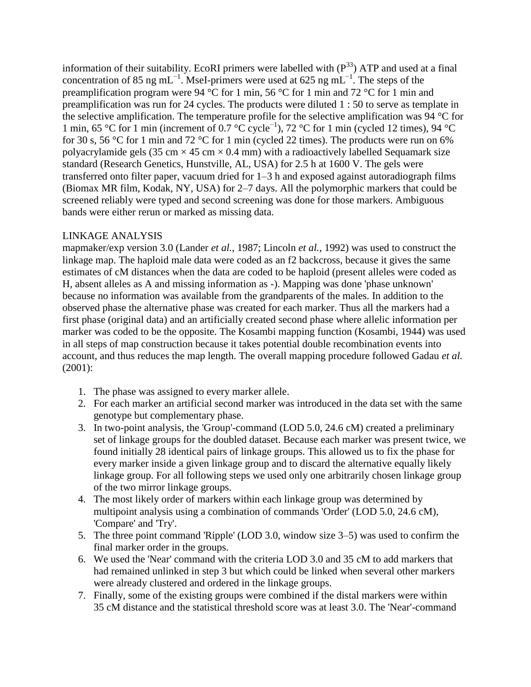information of their suitability. EcoRI primers were labelled with  $(P^{33})$  ATP and used at a final concentration of 85 ng mL<sup>-1</sup>. MseI-primers were used at 625 ng mL<sup>-1</sup>. The steps of the preamplification program were 94 °C for 1 min, 56 °C for 1 min and 72 °C for 1 min and preamplification was run for 24 cycles. The products were diluted 1 : 50 to serve as template in the selective amplification. The temperature profile for the selective amplification was 94 °C for 1 min, 65 °C for 1 min (increment of 0.7 °C cycle−1 ), 72 °C for 1 min (cycled 12 times), 94 °C for 30 s, 56 °C for 1 min and 72 °C for 1 min (cycled 22 times). The products were run on 6% polyacrylamide gels (35 cm  $\times$  45 cm  $\times$  0.4 mm) with a radioactively labelled Sequamark size standard (Research Genetics, Hunstville, AL, USA) for 2.5 h at 1600 V. The gels were transferred onto filter paper, vacuum dried for 1–3 h and exposed against autoradiograph films (Biomax MR film, Kodak, NY, USA) for 2–7 days. All the polymorphic markers that could be screened reliably were typed and second screening was done for those markers. Ambiguous bands were either rerun or marked as missing data.

# LINKAGE ANALYSIS

mapmaker/exp version 3.0 (Lander *et al.*, 1987; Lincoln *et al.*, 1992) was used to construct the linkage map. The haploid male data were coded as an f2 backcross, because it gives the same estimates of cM distances when the data are coded to be haploid (present alleles were coded as H, absent alleles as A and missing information as -). Mapping was done 'phase unknown' because no information was available from the grandparents of the males. In addition to the observed phase the alternative phase was created for each marker. Thus all the markers had a first phase (original data) and an artificially created second phase where allelic information per marker was coded to be the opposite. The Kosambi mapping function (Kosambi, 1944) was used in all steps of map construction because it takes potential double recombination events into account, and thus reduces the map length. The overall mapping procedure followed Gadau *et al.* (2001):

- 1. The phase was assigned to every marker allele.
- 2. For each marker an artificial second marker was introduced in the data set with the same genotype but complementary phase.
- 3. In two-point analysis, the 'Group'-command (LOD 5.0, 24.6 cM) created a preliminary set of linkage groups for the doubled dataset. Because each marker was present twice, we found initially 28 identical pairs of linkage groups. This allowed us to fix the phase for every marker inside a given linkage group and to discard the alternative equally likely linkage group. For all following steps we used only one arbitrarily chosen linkage group of the two mirror linkage groups.
- 4. The most likely order of markers within each linkage group was determined by multipoint analysis using a combination of commands 'Order' (LOD 5.0, 24.6 cM), 'Compare' and 'Try'.
- 5. The three point command 'Ripple' (LOD 3.0, window size 3–5) was used to confirm the final marker order in the groups.
- 6. We used the 'Near' command with the criteria LOD 3.0 and 35 cM to add markers that had remained unlinked in step 3 but which could be linked when several other markers were already clustered and ordered in the linkage groups.
- 7. Finally, some of the existing groups were combined if the distal markers were within 35 cM distance and the statistical threshold score was at least 3.0. The 'Near'-command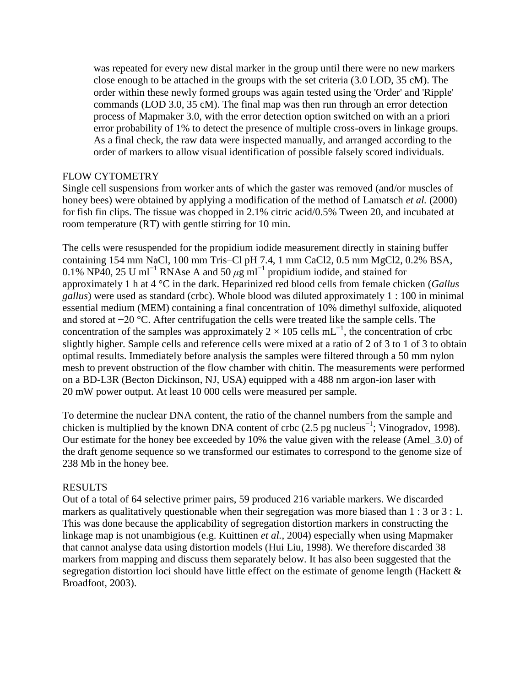was repeated for every new distal marker in the group until there were no new markers close enough to be attached in the groups with the set criteria (3.0 LOD, 35 cM). The order within these newly formed groups was again tested using the 'Order' and 'Ripple' commands (LOD 3.0, 35 cM). The final map was then run through an error detection process of Mapmaker 3.0, with the error detection option switched on with an a priori error probability of 1% to detect the presence of multiple cross-overs in linkage groups. As a final check, the raw data were inspected manually, and arranged according to the order of markers to allow visual identification of possible falsely scored individuals.

#### FLOW CYTOMETRY

Single cell suspensions from worker ants of which the gaster was removed (and/or muscles of honey bees) were obtained by applying a modification of the method of Lamatsch *et al.* (2000) for fish fin clips. The tissue was chopped in 2.1% citric acid/0.5% Tween 20, and incubated at room temperature (RT) with gentle stirring for 10 min.

The cells were resuspended for the propidium iodide measurement directly in staining buffer containing 154 mm NaCl, 100 mm Tris–Cl pH 7.4, 1 mm CaCl2, 0.5 mm MgCl2, 0.2% BSA, 0.1% NP40, 25 U ml<sup>-1</sup> RNAse A and 50  $\mu$ g ml<sup>-1</sup> propidium iodide, and stained for approximately 1 h at 4 °C in the dark. Heparinized red blood cells from female chicken (*Gallus gallus*) were used as standard (crbc). Whole blood was diluted approximately 1 : 100 in minimal essential medium (MEM) containing a final concentration of 10% dimethyl sulfoxide, aliquoted and stored at −20 °C. After centrifugation the cells were treated like the sample cells. The concentration of the samples was approximately  $2 \times 105$  cells mL<sup>-1</sup>, the concentration of crbc slightly higher. Sample cells and reference cells were mixed at a ratio of 2 of 3 to 1 of 3 to obtain optimal results. Immediately before analysis the samples were filtered through a 50 mm nylon mesh to prevent obstruction of the flow chamber with chitin. The measurements were performed on a BD-L3R (Becton Dickinson, NJ, USA) equipped with a 488 nm argon-ion laser with 20 mW power output. At least 10 000 cells were measured per sample.

To determine the nuclear DNA content, the ratio of the channel numbers from the sample and chicken is multiplied by the known DNA content of crbc  $(2.5 \text{ pg nucleus}^{-1}$ ; Vinogradov, 1998). Our estimate for the honey bee exceeded by 10% the value given with the release (Amel\_3.0) of the draft genome sequence so we transformed our estimates to correspond to the genome size of 238 Mb in the honey bee.

#### RESULTS

Out of a total of 64 selective primer pairs, 59 produced 216 variable markers. We discarded markers as qualitatively questionable when their segregation was more biased than 1 : 3 or 3 : 1. This was done because the applicability of segregation distortion markers in constructing the linkage map is not unambigious (e.g. Kuittinen *et al.*, 2004) especially when using Mapmaker that cannot analyse data using distortion models (Hui Liu, 1998). We therefore discarded 38 markers from mapping and discuss them separately below. It has also been suggested that the segregation distortion loci should have little effect on the estimate of genome length (Hackett & Broadfoot, 2003).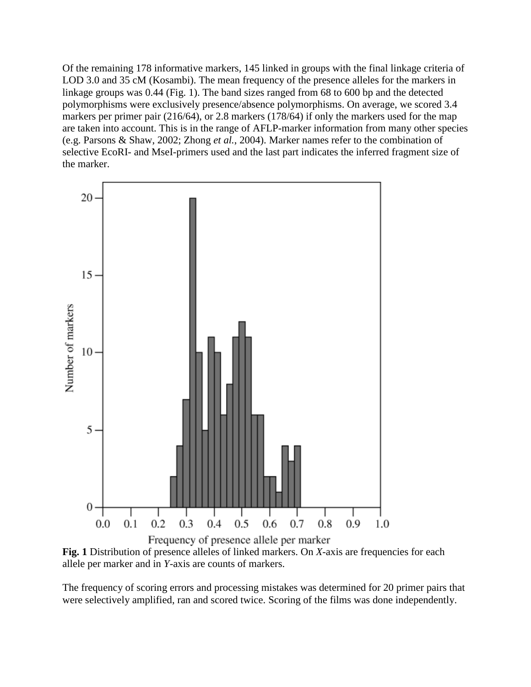Of the remaining 178 informative markers, 145 linked in groups with the final linkage criteria of LOD 3.0 and 35 cM (Kosambi). The mean frequency of the presence alleles for the markers in linkage groups was 0.44 (Fig. 1). The band sizes ranged from 68 to 600 bp and the detected polymorphisms were exclusively presence/absence polymorphisms. On average, we scored 3.4 markers per primer pair (216/64), or 2.8 markers (178/64) if only the markers used for the map are taken into account. This is in the range of AFLP-marker information from many other species (e.g. Parsons & Shaw, 2002; Zhong *et al.*, 2004). Marker names refer to the combination of selective EcoRI- and MseI-primers used and the last part indicates the inferred fragment size of the marker.



**Fig. 1** Distribution of presence alleles of linked markers. On *X*-axis are frequencies for each allele per marker and in *Y*-axis are counts of markers.

The frequency of scoring errors and processing mistakes was determined for 20 primer pairs that were selectively amplified, ran and scored twice. Scoring of the films was done independently.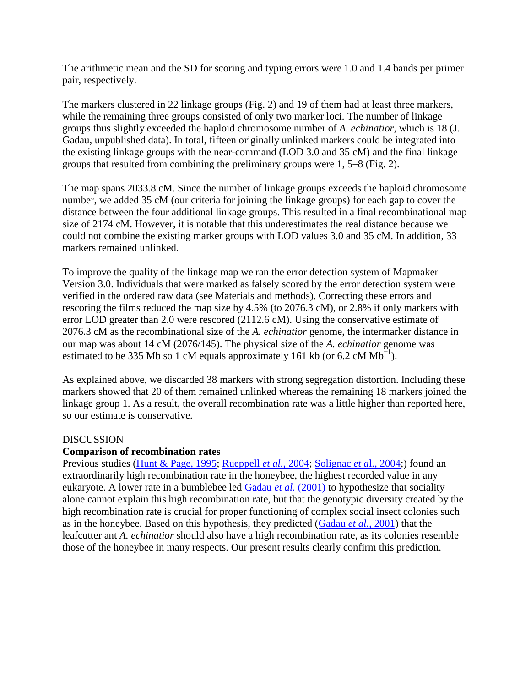The arithmetic mean and the SD for scoring and typing errors were 1.0 and 1.4 bands per primer pair, respectively.

The markers clustered in 22 linkage groups (Fig. 2) and 19 of them had at least three markers, while the remaining three groups consisted of only two marker loci. The number of linkage groups thus slightly exceeded the haploid chromosome number of *A. echinatior*, which is 18 (J. Gadau, unpublished data). In total, fifteen originally unlinked markers could be integrated into the existing linkage groups with the near-command (LOD 3.0 and 35 cM) and the final linkage groups that resulted from combining the preliminary groups were 1, 5–8 (Fig. 2).

The map spans 2033.8 cM. Since the number of linkage groups exceeds the haploid chromosome number, we added 35 cM (our criteria for joining the linkage groups) for each gap to cover the distance between the four additional linkage groups. This resulted in a final recombinational map size of 2174 cM. However, it is notable that this underestimates the real distance because we could not combine the existing marker groups with LOD values 3.0 and 35 cM. In addition, 33 markers remained unlinked.

To improve the quality of the linkage map we ran the error detection system of Mapmaker Version 3.0. Individuals that were marked as falsely scored by the error detection system were verified in the ordered raw data (see Materials and methods). Correcting these errors and rescoring the films reduced the map size by 4.5% (to 2076.3 cM), or 2.8% if only markers with error LOD greater than 2.0 were rescored (2112.6 cM). Using the conservative estimate of 2076.3 cM as the recombinational size of the *A. echinatior* genome, the intermarker distance in our map was about 14 cM (2076/145). The physical size of the *A. echinatior* genome was estimated to be 335 Mb so 1 cM equals approximately 161 kb (or 6.2 cM  $Mb^{-1}$ ).

As explained above, we discarded 38 markers with strong segregation distortion. Including these markers showed that 20 of them remained unlinked whereas the remaining 18 markers joined the linkage group 1. As a result, the overall recombination rate was a little higher than reported here, so our estimate is conservative.

#### DISCUSSION

#### **Comparison of recombination rates**

Previous studies [\(Hunt & Page, 1995;](http://www3.interscience.wiley.com/cgi-bin/fulltext/118631920/main.html,ftx_abs#b30) [Rueppell](http://www3.interscience.wiley.com/cgi-bin/fulltext/118631920/main.html,ftx_abs#b59) *et al.*, 2004; [Solignac](http://www3.interscience.wiley.com/cgi-bin/fulltext/118631920/main.html,ftx_abs#b63) *et a*l., 2004;) found an extraordinarily high recombination rate in the honeybee, the highest recorded value in any eukaryote. A lower rate in a bumblebee led [Gadau](http://www3.interscience.wiley.com/cgi-bin/fulltext/118631920/main.html,ftx_abs#b19) *et al.* (2001) to hypothesize that sociality alone cannot explain this high recombination rate, but that the genotypic diversity created by the high recombination rate is crucial for proper functioning of complex social insect colonies such as in the honeybee. Based on this hypothesis, they predicted [\(Gadau](http://www3.interscience.wiley.com/cgi-bin/fulltext/118631920/main.html,ftx_abs#b19) *et al.*, 2001) that the leafcutter ant *A. echinatior* should also have a high recombination rate, as its colonies resemble those of the honeybee in many respects. Our present results clearly confirm this prediction.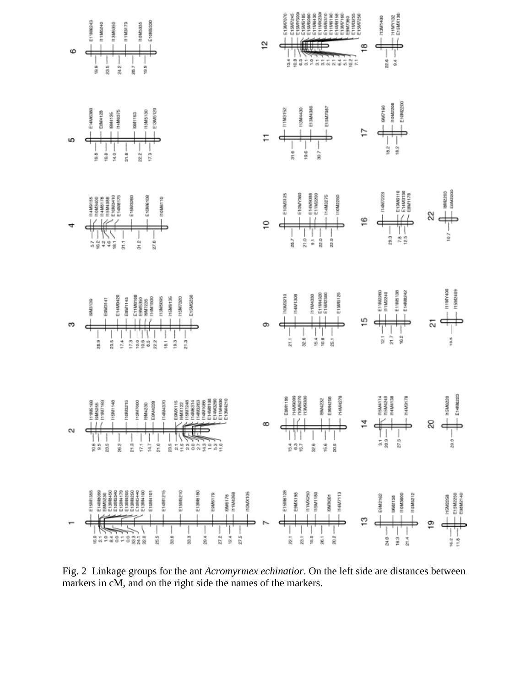

Fig. 2 Linkage groups for the ant *Acromyrmex echinatior*. On the left side are distances between markers in cM, and on the right side the names of the markers.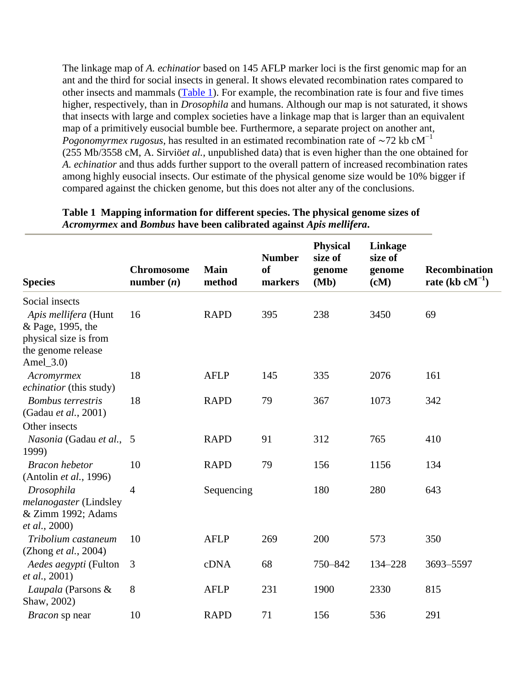The linkage map of *A. echinatior* based on 145 AFLP marker loci is the first genomic map for an ant and the third for social insects in general. It shows elevated recombination rates compared to other insects and mammals [\(Table](http://www3.interscience.wiley.com/cgi-bin/fulltext/118631920/main.html,ftx_abs#t1) 1). For example, the recombination rate is four and five times higher, respectively, than in *Drosophila* and humans. Although our map is not saturated, it shows that insects with large and complex societies have a linkage map that is larger than an equivalent map of a primitively eusocial bumble bee. Furthermore, a separate project on another ant, *Pogonomyrmex rugosus*, has resulted in an estimated recombination rate of  $\sim$ 72 kb cM<sup>-1</sup> (255 Mb/3558 cM, A. Sirviö*et al.*, unpublished data) that is even higher than the one obtained for *A. echinatior* and thus adds further support to the overall pattern of increased recombination rates among highly eusocial insects. Our estimate of the physical genome size would be 10% bigger if compared against the chicken genome, but this does not alter any of the conclusions.

| <b>Species</b>                                                                       | <b>Chromosome</b><br>number $(n)$ | <b>Main</b><br>method | <b>Number</b><br><sub>of</sub><br>markers | Physical<br>size of<br>genome<br>(Mb) | <b>Linkage</b><br>size of<br>genome<br>(cM) | <b>Recombination</b><br>rate (kb $cM^{-1}$ ) |
|--------------------------------------------------------------------------------------|-----------------------------------|-----------------------|-------------------------------------------|---------------------------------------|---------------------------------------------|----------------------------------------------|
| Social insects<br>Apis mellifera (Hunt<br>& Page, 1995, the<br>physical size is from | 16                                | <b>RAPD</b>           | 395                                       | 238                                   | 3450                                        | 69                                           |
| the genome release<br>Amel_ $3.0$ )                                                  |                                   |                       |                                           |                                       |                                             |                                              |
| Acromyrmex<br>echinatior (this study)                                                | 18                                | <b>AFLP</b>           | 145                                       | 335                                   | 2076                                        | 161                                          |
| <b>Bombus</b> terrestris<br>(Gadau et al., 2001)                                     | 18                                | <b>RAPD</b>           | 79                                        | 367                                   | 1073                                        | 342                                          |
| Other insects<br><i>Nasonia</i> (Gadau et al.,<br>1999)                              | 5                                 | <b>RAPD</b>           | 91                                        | 312                                   | 765                                         | 410                                          |
| <b>Bracon</b> hebetor<br>(Antolin et al., 1996)                                      | 10                                | <b>RAPD</b>           | 79                                        | 156                                   | 1156                                        | 134                                          |
| Drosophila<br>melanogaster (Lindsley<br>& Zimm 1992; Adams<br><i>et al.</i> , 2000)  | $\overline{4}$                    | Sequencing            |                                           | 180                                   | 280                                         | 643                                          |
| Tribolium castaneum<br>(Zhong $et$ al., 2004)                                        | 10                                | <b>AFLP</b>           | 269                                       | 200                                   | 573                                         | 350                                          |
| Aedes aegypti (Fulton<br><i>et al.</i> , 2001)                                       | 3                                 | cDNA                  | 68                                        | 750-842                               | 134-228                                     | 3693-5597                                    |
| Laupala (Parsons &<br>Shaw, 2002)                                                    | 8                                 | <b>AFLP</b>           | 231                                       | 1900                                  | 2330                                        | 815                                          |
| <i>Bracon</i> sp near                                                                | 10                                | <b>RAPD</b>           | 71                                        | 156                                   | 536                                         | 291                                          |

#### **Table 1 Mapping information for different species. The physical genome sizes of**  *Acromyrmex* **and** *Bombus* **have been calibrated against** *Apis mellifera***.**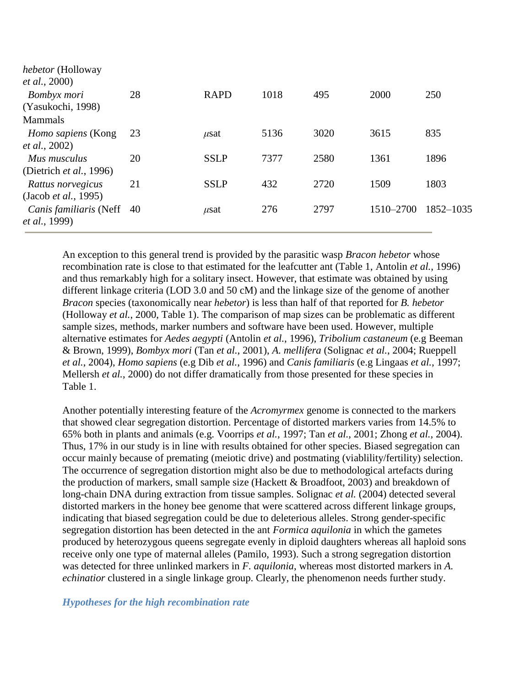| 28 | <b>RAPD</b> | 1018 | 495  | 2000      | 250       |
|----|-------------|------|------|-----------|-----------|
|    |             |      |      |           |           |
| 23 | usat        | 5136 | 3020 | 3615      | 835       |
| 20 | <b>SSLP</b> | 7377 | 2580 | 1361      | 1896      |
| 21 | <b>SSLP</b> | 432  | 2720 | 1509      | 1803      |
| 40 | $\mu$ sat   | 276  | 2797 | 1510-2700 | 1852-1035 |
|    |             |      |      |           |           |

An exception to this general trend is provided by the parasitic wasp *Bracon hebetor* whose recombination rate is close to that estimated for the leafcutter ant (Table 1, Antolin *et al.*, 1996) and thus remarkably high for a solitary insect. However, that estimate was obtained by using different linkage criteria (LOD 3.0 and 50 cM) and the linkage size of the genome of another *Bracon* species (taxonomically near *hebetor*) is less than half of that reported for *B. hebetor* (Holloway *et al.*, 2000, Table 1). The comparison of map sizes can be problematic as different sample sizes, methods, marker numbers and software have been used. However, multiple alternative estimates for *Aedes aegypti* (Antolin *et al.*, 1996), *Tribolium castaneum* (e.g Beeman & Brown, 1999), *Bombyx mori* (Tan *et al.*, 2001), *A. mellifera* (Solignac *et al.*, 2004; Rueppell *et al.*, 2004), *Homo sapiens* (e.g Dib *et al.*, 1996) and *Canis familiaris* (e.g Lingaas *et al.*, 1997; Mellersh *et al.*, 2000) do not differ dramatically from those presented for these species in Table 1.

Another potentially interesting feature of the *Acromyrmex* genome is connected to the markers that showed clear segregation distortion. Percentage of distorted markers varies from 14.5% to 65% both in plants and animals (e.g. Voorrips *et al.*, 1997; Tan *et al.*, 2001; Zhong *et al.*, 2004). Thus, 17% in our study is in line with results obtained for other species. Biased segregation can occur mainly because of premating (meiotic drive) and postmating (viablility/fertility) selection. The occurrence of segregation distortion might also be due to methodological artefacts during the production of markers, small sample size (Hackett & Broadfoot, 2003) and breakdown of long-chain DNA during extraction from tissue samples. Solignac *et al.* (2004) detected several distorted markers in the honey bee genome that were scattered across different linkage groups, indicating that biased segregation could be due to deleterious alleles. Strong gender-specific segregation distortion has been detected in the ant *Formica aquilonia* in which the gametes produced by heterozygous queens segregate evenly in diploid daughters whereas all haploid sons receive only one type of maternal alleles (Pamilo, 1993). Such a strong segregation distortion was detected for three unlinked markers in *F. aquilonia*, whereas most distorted markers in *A. echinatior* clustered in a single linkage group. Clearly, the phenomenon needs further study.

*Hypotheses for the high recombination rate*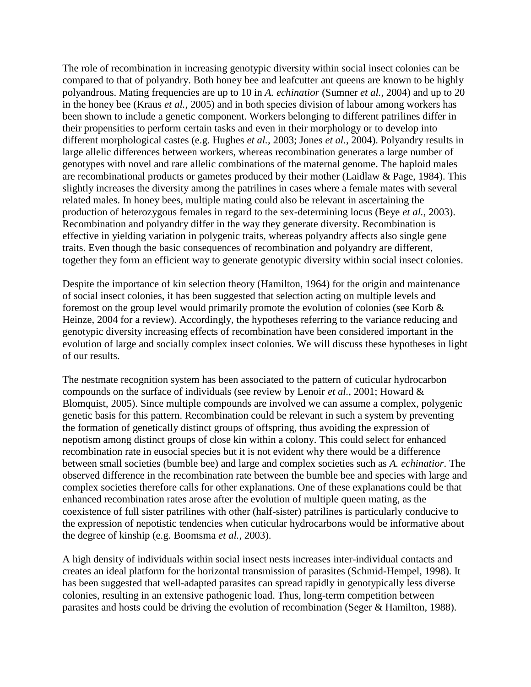The role of recombination in increasing genotypic diversity within social insect colonies can be compared to that of polyandry. Both honey bee and leafcutter ant queens are known to be highly polyandrous. Mating frequencies are up to 10 in *A. echinatior* (Sumner *et al.*, 2004) and up to 20 in the honey bee (Kraus *et al.*, 2005) and in both species division of labour among workers has been shown to include a genetic component. Workers belonging to different patrilines differ in their propensities to perform certain tasks and even in their morphology or to develop into different morphological castes (e.g. Hughes *et al.*, 2003; Jones *et al.*, 2004). Polyandry results in large allelic differences between workers, whereas recombination generates a large number of genotypes with novel and rare allelic combinations of the maternal genome. The haploid males are recombinational products or gametes produced by their mother (Laidlaw & Page, 1984). This slightly increases the diversity among the patrilines in cases where a female mates with several related males. In honey bees, multiple mating could also be relevant in ascertaining the production of heterozygous females in regard to the sex-determining locus (Beye *et al.*, 2003). Recombination and polyandry differ in the way they generate diversity. Recombination is effective in yielding variation in polygenic traits, whereas polyandry affects also single gene traits. Even though the basic consequences of recombination and polyandry are different, together they form an efficient way to generate genotypic diversity within social insect colonies.

Despite the importance of kin selection theory (Hamilton, 1964) for the origin and maintenance of social insect colonies, it has been suggested that selection acting on multiple levels and foremost on the group level would primarily promote the evolution of colonies (see Korb & Heinze, 2004 for a review). Accordingly, the hypotheses referring to the variance reducing and genotypic diversity increasing effects of recombination have been considered important in the evolution of large and socially complex insect colonies. We will discuss these hypotheses in light of our results.

The nestmate recognition system has been associated to the pattern of cuticular hydrocarbon compounds on the surface of individuals (see review by Lenoir *et al.*, 2001; Howard & Blomquist, 2005). Since multiple compounds are involved we can assume a complex, polygenic genetic basis for this pattern. Recombination could be relevant in such a system by preventing the formation of genetically distinct groups of offspring, thus avoiding the expression of nepotism among distinct groups of close kin within a colony. This could select for enhanced recombination rate in eusocial species but it is not evident why there would be a difference between small societies (bumble bee) and large and complex societies such as *A. echinatior*. The observed difference in the recombination rate between the bumble bee and species with large and complex societies therefore calls for other explanations. One of these explanations could be that enhanced recombination rates arose after the evolution of multiple queen mating, as the coexistence of full sister patrilines with other (half-sister) patrilines is particularly conducive to the expression of nepotistic tendencies when cuticular hydrocarbons would be informative about the degree of kinship (e.g. Boomsma *et al.*, 2003).

A high density of individuals within social insect nests increases inter-individual contacts and creates an ideal platform for the horizontal transmission of parasites (Schmid-Hempel, 1998). It has been suggested that well-adapted parasites can spread rapidly in genotypically less diverse colonies, resulting in an extensive pathogenic load. Thus, long-term competition between parasites and hosts could be driving the evolution of recombination (Seger & Hamilton, 1988).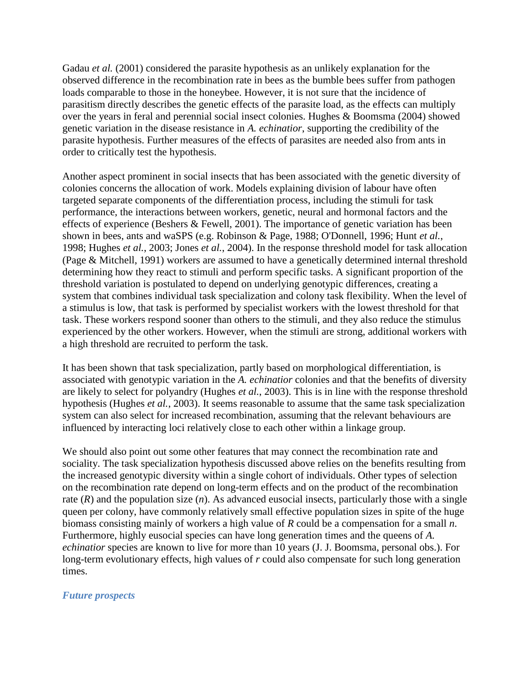Gadau *et al.* (2001) considered the parasite hypothesis as an unlikely explanation for the observed difference in the recombination rate in bees as the bumble bees suffer from pathogen loads comparable to those in the honeybee. However, it is not sure that the incidence of parasitism directly describes the genetic effects of the parasite load, as the effects can multiply over the years in feral and perennial social insect colonies. Hughes & Boomsma (2004) showed genetic variation in the disease resistance in *A. echinatior*, supporting the credibility of the parasite hypothesis. Further measures of the effects of parasites are needed also from ants in order to critically test the hypothesis.

Another aspect prominent in social insects that has been associated with the genetic diversity of colonies concerns the allocation of work. Models explaining division of labour have often targeted separate components of the differentiation process, including the stimuli for task performance, the interactions between workers, genetic, neural and hormonal factors and the effects of experience (Beshers & Fewell, 2001). The importance of genetic variation has been shown in bees, ants and waSPS (e.g. Robinson & Page, 1988; O'Donnell, 1996; Hunt *et al.*, 1998; Hughes *et al.*, 2003; Jones *et al.*, 2004). In the response threshold model for task allocation (Page & Mitchell, 1991) workers are assumed to have a genetically determined internal threshold determining how they react to stimuli and perform specific tasks. A significant proportion of the threshold variation is postulated to depend on underlying genotypic differences, creating a system that combines individual task specialization and colony task flexibility. When the level of a stimulus is low, that task is performed by specialist workers with the lowest threshold for that task. These workers respond sooner than others to the stimuli, and they also reduce the stimulus experienced by the other workers. However, when the stimuli are strong, additional workers with a high threshold are recruited to perform the task.

It has been shown that task specialization, partly based on morphological differentiation, is associated with genotypic variation in the *A. echinatior* colonies and that the benefits of diversity are likely to select for polyandry (Hughes *et al.*, 2003). This is in line with the response threshold hypothesis (Hughes *et al.*, 2003). It seems reasonable to assume that the same task specialization system can also select for increased recombination, assuming that the relevant behaviours are influenced by interacting loci relatively close to each other within a linkage group.

We should also point out some other features that may connect the recombination rate and sociality. The task specialization hypothesis discussed above relies on the benefits resulting from the increased genotypic diversity within a single cohort of individuals. Other types of selection on the recombination rate depend on long-term effects and on the product of the recombination rate (*R*) and the population size (*n*). As advanced eusocial insects, particularly those with a single queen per colony, have commonly relatively small effective population sizes in spite of the huge biomass consisting mainly of workers a high value of *R* could be a compensation for a small *n*. Furthermore, highly eusocial species can have long generation times and the queens of *A. echinatior* species are known to live for more than 10 years (J. J. Boomsma, personal obs.). For long-term evolutionary effects, high values of *r* could also compensate for such long generation times.

#### *Future prospects*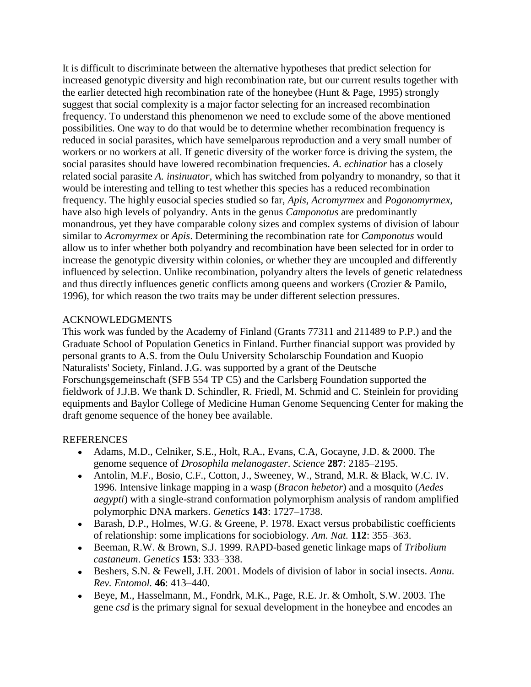It is difficult to discriminate between the alternative hypotheses that predict selection for increased genotypic diversity and high recombination rate, but our current results together with the earlier detected high recombination rate of the honeybee (Hunt & Page, 1995) strongly suggest that social complexity is a major factor selecting for an increased recombination frequency. To understand this phenomenon we need to exclude some of the above mentioned possibilities. One way to do that would be to determine whether recombination frequency is reduced in social parasites, which have semelparous reproduction and a very small number of workers or no workers at all. If genetic diversity of the worker force is driving the system, the social parasites should have lowered recombination frequencies. *A. echinatior* has a closely related social parasite *A. insinuator*, which has switched from polyandry to monandry, so that it would be interesting and telling to test whether this species has a reduced recombination frequency. The highly eusocial species studied so far, *Apis*, *Acromyrmex* and *Pogonomyrmex*, have also high levels of polyandry. Ants in the genus *Camponotus* are predominantly monandrous, yet they have comparable colony sizes and complex systems of division of labour similar to *Acromyrmex* or *Apis*. Determining the recombination rate for *Camponotus* would allow us to infer whether both polyandry and recombination have been selected for in order to increase the genotypic diversity within colonies, or whether they are uncoupled and differently influenced by selection. Unlike recombination, polyandry alters the levels of genetic relatedness and thus directly influences genetic conflicts among queens and workers (Crozier & Pamilo, 1996), for which reason the two traits may be under different selection pressures.

#### ACKNOWLEDGMENTS

This work was funded by the Academy of Finland (Grants 77311 and 211489 to P.P.) and the Graduate School of Population Genetics in Finland. Further financial support was provided by personal grants to A.S. from the Oulu University Scholarschip Foundation and Kuopio Naturalists' Society, Finland. J.G. was supported by a grant of the Deutsche Forschungsgemeinschaft (SFB 554 TP C5) and the Carlsberg Foundation supported the fieldwork of J.J.B. We thank D. Schindler, R. Friedl, M. Schmid and C. Steinlein for providing equipments and Baylor College of Medicine Human Genome Sequencing Center for making the draft genome sequence of the honey bee available.

#### **REFERENCES**

- Adams, M.D., Celniker, S.E., Holt, R.A., Evans, C.A, Gocayne, J.D. & 2000. The genome sequence of *Drosophila melanogaster*. *Science* **287**: 2185–2195.
- Antolin, M.F., Bosio, C.F., Cotton, J., Sweeney, W., Strand, M.R. & Black, W.C. IV. 1996. Intensive linkage mapping in a wasp (*Bracon hebetor*) and a mosquito (*Aedes aegypti*) with a single-strand conformation polymorphism analysis of random amplified polymorphic DNA markers. *Genetics* **143**: 1727–1738.
- Barash, D.P., Holmes, W.G. & Greene, P. 1978. Exact versus probabilistic coefficients of relationship: some implications for sociobiology. *Am. Nat.* **112**: 355–363.
- Beeman, R.W. & Brown, S.J. 1999. RAPD-based genetic linkage maps of *Tribolium castaneum*. *Genetics* **153**: 333–338.
- Beshers, S.N. & Fewell, J.H. 2001. Models of division of labor in social insects. *Annu. Rev. Entomol.* **46**: 413–440.
- Beye, M., Hasselmann, M., Fondrk, M.K., Page, R.E. Jr. & Omholt, S.W. 2003. The gene *csd* is the primary signal for sexual development in the honeybee and encodes an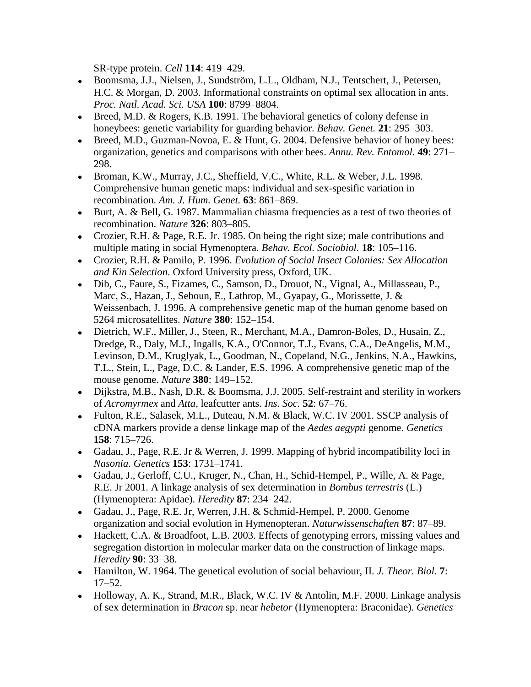SR-type protein. *Cell* **114**: 419–429.

- Boomsma, J.J., Nielsen, J., Sundström, L.L., Oldham, N.J., Tentschert, J., Petersen, H.C. & Morgan, D. 2003. Informational constraints on optimal sex allocation in ants. *Proc. Natl. Acad. Sci. USA* **100**: 8799–8804.
- Breed, M.D. & Rogers, K.B. 1991. The behavioral genetics of colony defense in honeybees: genetic variability for guarding behavior. *Behav. Genet.* **21**: 295–303.
- Breed, M.D., Guzman-Novoa, E. & Hunt, G. 2004. Defensive behavior of honey bees: organization, genetics and comparisons with other bees. *Annu. Rev. Entomol.* **49**: 271– 298.
- Broman, K.W., Murray, J.C., Sheffield, V.C., White, R.L. & Weber, J.L. 1998. Comprehensive human genetic maps: individual and sex-spesific variation in recombination. *Am. J. Hum. Genet.* **63**: 861–869.
- Burt, A. & Bell, G. 1987. Mammalian chiasma frequencies as a test of two theories of recombination. *Nature* **326**: 803–805.
- Crozier, R.H. & Page, R.E. Jr. 1985. On being the right size; male contributions and multiple mating in social Hymenoptera. *Behav. Ecol. Sociobiol.* **18**: 105–116.
- Crozier, R.H. & Pamilo, P. 1996. *Evolution of Social Insect Colonies: Sex Allocation and Kin Selection*. Oxford University press, Oxford, UK.
- Dib, C., Faure, S., Fizames, C., Samson, D., Drouot, N., Vignal, A., Millasseau, P., Marc, S., Hazan, J., Seboun, E., Lathrop, M., Gyapay, G., Morissette, J. & Weissenbach, J. 1996. A comprehensive genetic map of the human genome based on 5264 microsatellites. *Nature* **380**: 152–154.
- Dietrich, W.F., Miller, J., Steen, R., Merchant, M.A., Damron-Boles, D., Husain, Z., Dredge, R., Daly, M.J., Ingalls, K.A., O'Connor, T.J., Evans, C.A., DeAngelis, M.M., Levinson, D.M., Kruglyak, L., Goodman, N., Copeland, N.G., Jenkins, N.A., Hawkins, T.L., Stein, L., Page, D.C. & Lander, E.S. 1996. A comprehensive genetic map of the mouse genome. *Nature* **380**: 149–152.
- Dijkstra, M.B., Nash, D.R. & Boomsma, J.J. 2005. Self-restraint and sterility in workers of *Acromyrmex* and *Atta*, leafcutter ants. *Ins. Soc.* **52**: 67–76.
- Fulton, R.E., Salasek, M.L., Duteau, N.M. & Black, W.C. IV 2001. SSCP analysis of cDNA markers provide a dense linkage map of the *Aedes aegypti* genome. *Genetics* **158**: 715–726.
- Gadau, J., Page, R.E. Jr & Werren, J. 1999. Mapping of hybrid incompatibility loci in *Nasonia*. *Genetics* **153**: 1731–1741.
- Gadau, J., Gerloff, C.U., Kruger, N., Chan, H., Schid-Hempel, P., Wille, A. & Page, R.E. Jr 2001. A linkage analysis of sex determination in *Bombus terrestris* (L.) (Hymenoptera: Apidae). *Heredity* **87**: 234–242.
- Gadau, J., Page, R.E. Jr, Werren, J.H. & Schmid-Hempel, P. 2000. Genome organization and social evolution in Hymenopteran. *Naturwissenschaften* **87**: 87–89.
- Hackett, C.A. & Broadfoot, L.B. 2003. Effects of genotyping errors, missing values and segregation distortion in molecular marker data on the construction of linkage maps. *Heredity* **90**: 33–38.
- Hamilton, W. 1964. The genetical evolution of social behaviour, II. *J. Theor. Biol.* **7**: 17–52.
- Holloway, A. K., Strand, M.R., Black, W.C. IV & Antolin, M.F. 2000. Linkage analysis of sex determination in *Bracon* sp. near *hebetor* (Hymenoptera: Braconidae). *Genetics*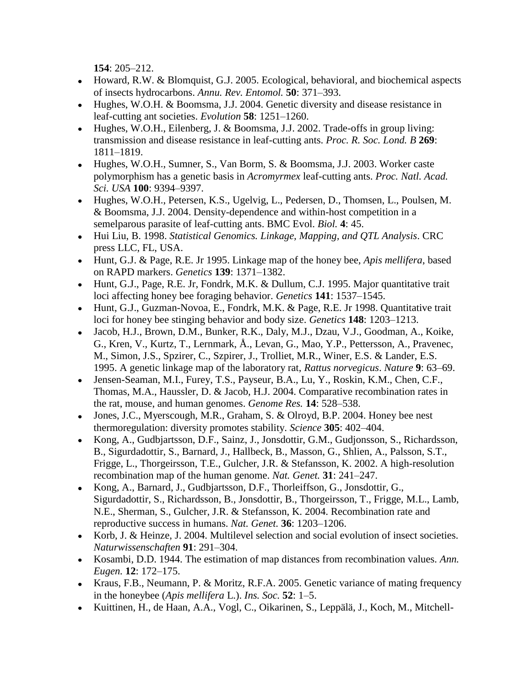**154**: 205–212.

- Howard, R.W. & Blomquist, G.J. 2005. Ecological, behavioral, and biochemical aspects of insects hydrocarbons. *Annu. Rev. Entomol.* **50**: 371–393.
- Hughes, W.O.H. & Boomsma, J.J. 2004. Genetic diversity and disease resistance in leaf-cutting ant societies. *Evolution* **58**: 1251–1260.
- Hughes, W.O.H., Eilenberg, J. & Boomsma, J.J. 2002. Trade-offs in group living:  $\bullet$ transmission and disease resistance in leaf-cutting ants. *Proc. R. Soc. Lond. B* **269**: 1811–1819.
- Hughes, W.O.H., Sumner, S., Van Borm, S. & Boomsma, J.J. 2003. Worker caste  $\bullet$ polymorphism has a genetic basis in *Acromyrmex* leaf-cutting ants. *Proc. Natl. Acad. Sci. USA* **100**: 9394–9397.
- Hughes, W.O.H., Petersen, K.S., Ugelvig, L., Pedersen, D., Thomsen, L., Poulsen, M.  $\bullet$ & Boomsma, J.J. 2004. Density-dependence and within-host competition in a semelparous parasite of leaf-cutting ants. BMC Evol. *Biol.* **4**: 45.
- Hui Liu, B. 1998. *Statistical Genomics. Linkage, Mapping, and QTL Analysis*. CRC  $\bullet$ press LLC, FL, USA.
- Hunt, G.J. & Page, R.E. Jr 1995. Linkage map of the honey bee, *Apis mellifera*, based on RAPD markers. *Genetics* **139**: 1371–1382.
- Hunt, G.J., Page, R.E. Jr, Fondrk, M.K. & Dullum, C.J. 1995. Major quantitative trait loci affecting honey bee foraging behavior. *Genetics* **141**: 1537–1545.
- Hunt, G.J., Guzman-Novoa, E., Fondrk, M.K. & Page, R.E. Jr 1998. Quantitative trait loci for honey bee stinging behavior and body size. *Genetics* **148**: 1203–1213.
- Jacob, H.J., Brown, D.M., Bunker, R.K., Daly, M.J., Dzau, V.J., Goodman, A., Koike, G., Kren, V., Kurtz, T., Lernmark, Å., Levan, G., Mao, Y.P., Pettersson, A., Pravenec, M., Simon, J.S., Spzirer, C., Szpirer, J., Trolliet, M.R., Winer, E.S. & Lander, E.S. 1995. A genetic linkage map of the laboratory rat, *Rattus norvegicus*. *Nature* **9**: 63–69.
- Jensen-Seaman, M.I., Furey, T.S., Payseur, B.A., Lu, Y., Roskin, K.M., Chen, C.F., Thomas, M.A., Haussler, D. & Jacob, H.J. 2004. Comparative recombination rates in the rat, mouse, and human genomes. *Genome Res.* **14**: 528–538.
- Jones, J.C., Myerscough, M.R., Graham, S. & Olroyd, B.P. 2004. Honey bee nest thermoregulation: diversity promotes stability. *Science* **305**: 402–404.
- Kong, A., Gudbjartsson, D.F., Sainz, J., Jonsdottir, G.M., Gudjonsson, S., Richardsson, B., Sigurdadottir, S., Barnard, J., Hallbeck, B., Masson, G., Shlien, A., Palsson, S.T., Frigge, L., Thorgeirsson, T.E., Gulcher, J.R. & Stefansson, K. 2002. A high-resolution recombination map of the human genome. *Nat. Genet.* **31**: 241–247.
- Kong, A., Barnard, J., Gudbjartsson, D.F., Thorleiffson, G., Jonsdottir, G., Sigurdadottir, S., Richardsson, B., Jonsdottir, B., Thorgeirsson, T., Frigge, M.L., Lamb, N.E., Sherman, S., Gulcher, J.R. & Stefansson, K. 2004. Recombination rate and reproductive success in humans. *Nat. Genet.* **36**: 1203–1206.
- Korb, J. & Heinze, J. 2004. Multilevel selection and social evolution of insect societies. *Naturwissenschaften* **91**: 291–304.
- Kosambi, D.D. 1944. The estimation of map distances from recombination values. *Ann. Eugen.* **12**: 172–175.
- Kraus, F.B., Neumann, P. & Moritz, R.F.A. 2005. Genetic variance of mating frequency in the honeybee (*Apis mellifera* L.). *Ins. Soc.* **52**: 1–5.
- Kuittinen, H., de Haan, A.A., Vogl, C., Oikarinen, S., Leppälä, J., Koch, M., Mitchell-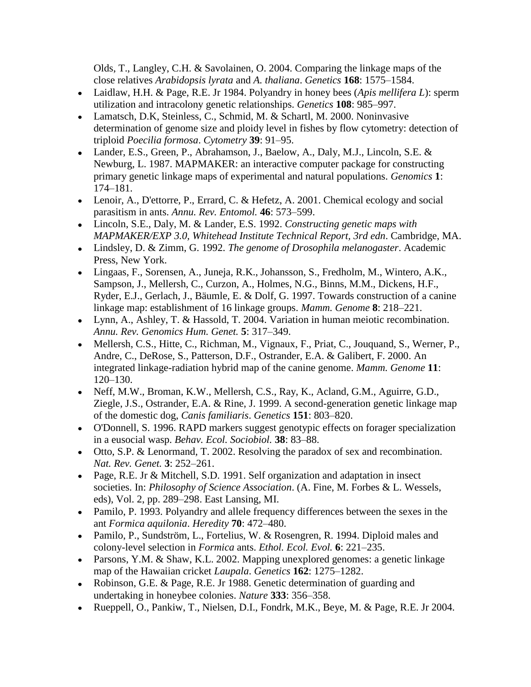Olds, T., Langley, C.H. & Savolainen, O. 2004. Comparing the linkage maps of the close relatives *Arabidopsis lyrata* and *A. thaliana*. *Genetics* **168**: 1575–1584.

- Laidlaw, H.H. & Page, R.E. Jr 1984. Polyandry in honey bees (*Apis mellifera L*): sperm utilization and intracolony genetic relationships. *Genetics* **108**: 985–997.
- Lamatsch, D.K, Steinless, C., Schmid, M. & Schartl, M. 2000. Noninvasive determination of genome size and ploidy level in fishes by flow cytometry: detection of triploid *Poecilia formosa*. *Cytometry* **39**: 91–95.
- Lander, E.S., Green, P., Abrahamson, J., Baelow, A., Daly, M.J., Lincoln, S.E. & Newburg, L. 1987. MAPMAKER: an interactive computer package for constructing primary genetic linkage maps of experimental and natural populations. *Genomics* **1**: 174–181.
- Lenoir, A., D'ettorre, P., Errard, C. & Hefetz, A. 2001. Chemical ecology and social parasitism in ants. *Annu. Rev. Entomol.* **46**: 573–599.
- Lincoln, S.E., Daly, M. & Lander, E.S. 1992. *Constructing genetic maps with MAPMAKER/EXP 3.0, Whitehead Institute Technical Report, 3rd edn*. Cambridge, MA.
- Lindsley, D. & Zimm, G. 1992. *The genome of Drosophila melanogaster*. Academic Press, New York.
- Lingaas, F., Sorensen, A., Juneja, R.K., Johansson, S., Fredholm, M., Wintero, A.K., Sampson, J., Mellersh, C., Curzon, A., Holmes, N.G., Binns, M.M., Dickens, H.F., Ryder, E.J., Gerlach, J., Bäumle, E. & Dolf, G. 1997. Towards construction of a canine linkage map: establishment of 16 linkage groups. *Mamm. Genome* **8**: 218–221.
- Lynn, A., Ashley, T. & Hassold, T. 2004. Variation in human meiotic recombination. *Annu. Rev. Genomics Hum. Genet.* **5**: 317–349.
- Mellersh, C.S., Hitte, C., Richman, M., Vignaux, F., Priat, C., Jouquand, S., Werner, P., Andre, C., DeRose, S., Patterson, D.F., Ostrander, E.A. & Galibert, F. 2000. An integrated linkage-radiation hybrid map of the canine genome. *Mamm. Genome* **11**: 120–130.
- Neff, M.W., Broman, K.W., Mellersh, C.S., Ray, K., Acland, G.M., Aguirre, G.D., Ziegle, J.S., Ostrander, E.A. & Rine, J. 1999. A second-generation genetic linkage map of the domestic dog, *Canis familiaris*. *Genetics* **151**: 803–820.
- O'Donnell, S. 1996. RAPD markers suggest genotypic effects on forager specialization in a eusocial wasp. *Behav. Ecol. Sociobiol.* **38**: 83–88.
- Otto, S.P. & Lenormand, T. 2002. Resolving the paradox of sex and recombination. *Nat. Rev. Genet.* **3**: 252–261.
- Page, R.E. Jr & Mitchell, S.D. 1991. Self organization and adaptation in insect societies. In: *Philosophy of Science Association*. (A. Fine, M. Forbes & L. Wessels, eds), Vol. 2, pp. 289–298. East Lansing, MI.
- Pamilo, P. 1993. Polyandry and allele frequency differences between the sexes in the ant *Formica aquilonia*. *Heredity* **70**: 472–480.
- Pamilo, P., Sundström, L., Fortelius, W. & Rosengren, R. 1994. Diploid males and colony-level selection in *Formica* ants. *Ethol. Ecol. Evol.* **6**: 221–235.
- Parsons, Y.M. & Shaw, K.L. 2002. Mapping unexplored genomes: a genetic linkage map of the Hawaiian cricket *Laupala*. *Genetics* **162**: 1275–1282.
- Robinson, G.E. & Page, R.E. Jr 1988. Genetic determination of guarding and  $\bullet$ undertaking in honeybee colonies. *Nature* **333**: 356–358.
- Rueppell, O., Pankiw, T., Nielsen, D.I., Fondrk, M.K., Beye, M. & Page, R.E. Jr 2004.